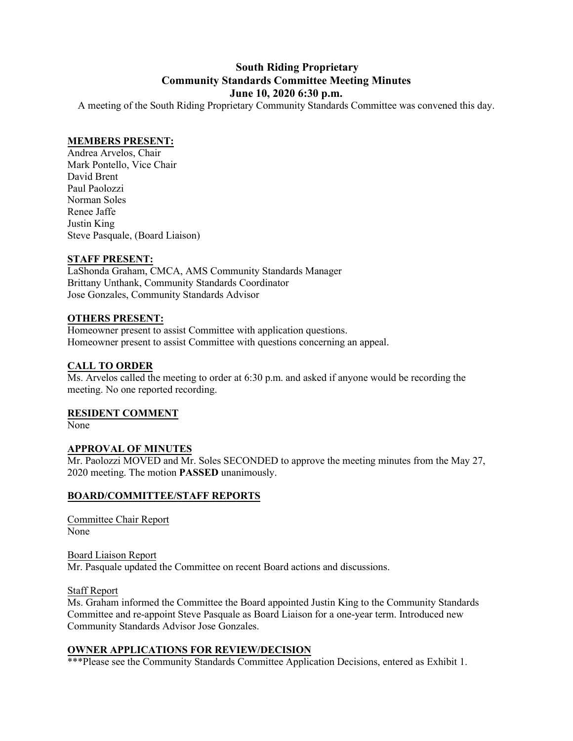# **South Riding Proprietary Community Standards Committee Meeting Minutes June 10, 2020 6:30 p.m.**

A meeting of the South Riding Proprietary Community Standards Committee was convened this day.

#### **MEMBERS PRESENT:**

Andrea Arvelos, Chair Mark Pontello, Vice Chair David Brent Paul Paolozzi Norman Soles Renee Jaffe Justin King Steve Pasquale, (Board Liaison)

#### **STAFF PRESENT:**

LaShonda Graham, CMCA, AMS Community Standards Manager Brittany Unthank, Community Standards Coordinator Jose Gonzales, Community Standards Advisor

#### **OTHERS PRESENT:**

Homeowner present to assist Committee with application questions. Homeowner present to assist Committee with questions concerning an appeal.

# **CALL TO ORDER**

Ms. Arvelos called the meeting to order at 6:30 p.m. and asked if anyone would be recording the meeting. No one reported recording.

#### **RESIDENT COMMENT**

None

#### **APPROVAL OF MINUTES**

Mr. Paolozzi MOVED and Mr. Soles SECONDED to approve the meeting minutes from the May 27, 2020 meeting. The motion **PASSED** unanimously.

# **BOARD/COMMITTEE/STAFF REPORTS**

Committee Chair Report None

#### Board Liaison Report

Mr. Pasquale updated the Committee on recent Board actions and discussions.

#### Staff Report

Ms. Graham informed the Committee the Board appointed Justin King to the Community Standards Committee and re-appoint Steve Pasquale as Board Liaison for a one-year term. Introduced new Community Standards Advisor Jose Gonzales.

#### **OWNER APPLICATIONS FOR REVIEW/DECISION**

\*\*\*Please see the Community Standards Committee Application Decisions, entered as Exhibit 1.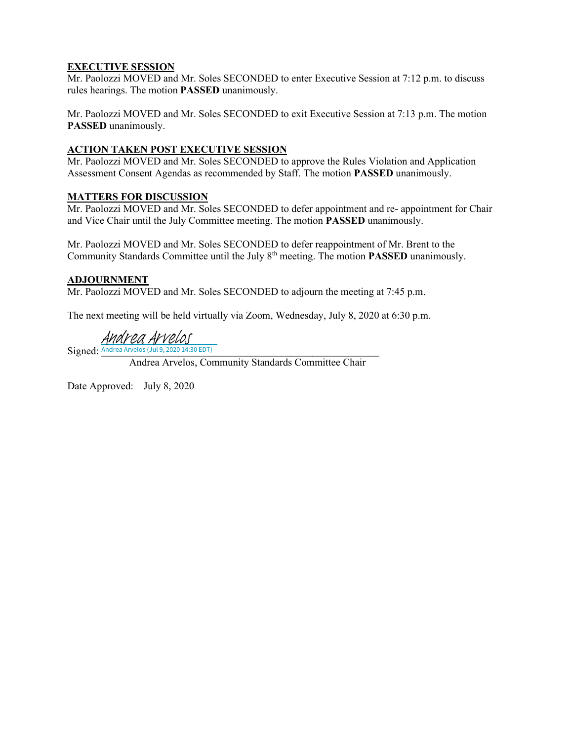# **EXECUTIVE SESSION**

Mr. Paolozzi MOVED and Mr. Soles SECONDED to enter Executive Session at 7:12 p.m. to discuss rules hearings. The motion **PASSED** unanimously.

Mr. Paolozzi MOVED and Mr. Soles SECONDED to exit Executive Session at 7:13 p.m. The motion **PASSED** unanimously.

## **ACTION TAKEN POST EXECUTIVE SESSION**

Mr. Paolozzi MOVED and Mr. Soles SECONDED to approve the Rules Violation and Application Assessment Consent Agendas as recommended by Staff. The motion **PASSED** unanimously.

#### **MATTERS FOR DISCUSSION**

Mr. Paolozzi MOVED and Mr. Soles SECONDED to defer appointment and re- appointment for Chair and Vice Chair until the July Committee meeting. The motion **PASSED** unanimously.

Mr. Paolozzi MOVED and Mr. Soles SECONDED to defer reappointment of Mr. Brent to the Community Standards Committee until the July 8th meeting. The motion **PASSED** unanimously.

#### **ADJOURNMENT**

Mr. Paolozzi MOVED and Mr. Soles SECONDED to adjourn the meeting at 7:45 p.m.

The next meeting will be held virtually via Zoom, Wednesday, July 8, 2020 at 6:30 p.m.

Andrea Arvelos

 $Sigma:$  Andrea Arvelos (Jul 9, 2020 14:30 EDT)

Andrea Arvelos, Community Standards Committee Chair

Date Approved: July 8, 2020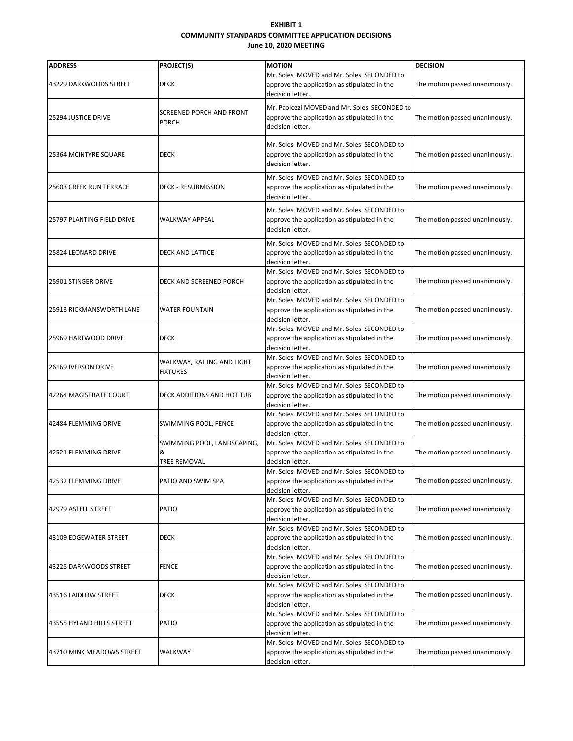#### **EXHIBIT 1 COMMUNITY STANDARDS COMMITTEE APPLICATION DECISIONS June 10, 2020 MEETING**

| <b>ADDRESS</b>                 |                                                  | <b>MOTION</b>                                                                                                                        |                                                   |
|--------------------------------|--------------------------------------------------|--------------------------------------------------------------------------------------------------------------------------------------|---------------------------------------------------|
| 43229 DARKWOODS STREET         | <b>PROJECT(S)</b><br><b>DECK</b>                 | Mr. Soles MOVED and Mr. Soles SECONDED to<br>approve the application as stipulated in the                                            | <b>DECISION</b><br>The motion passed unanimously. |
| 25294 JUSTICE DRIVE            | <b>SCREENED PORCH AND FRONT</b><br><b>PORCH</b>  | decision letter.<br>Mr. Paolozzi MOVED and Mr. Soles SECONDED to<br>approve the application as stipulated in the<br>decision letter. | The motion passed unanimously.                    |
| 25364 MCINTYRE SQUARE          | <b>DECK</b>                                      | Mr. Soles MOVED and Mr. Soles SECONDED to<br>approve the application as stipulated in the<br>decision letter.                        | The motion passed unanimously.                    |
| <b>25603 CREEK RUN TERRACE</b> | <b>DECK - RESUBMISSION</b>                       | Mr. Soles MOVED and Mr. Soles SECONDED to<br>approve the application as stipulated in the<br>decision letter.                        | The motion passed unanimously.                    |
| 25797 PLANTING FIELD DRIVE     | WALKWAY APPEAL                                   | Mr. Soles MOVED and Mr. Soles SECONDED to<br>approve the application as stipulated in the<br>decision letter.                        | The motion passed unanimously.                    |
| 25824 LEONARD DRIVE            | <b>DECK AND LATTICE</b>                          | Mr. Soles MOVED and Mr. Soles SECONDED to<br>approve the application as stipulated in the<br>decision letter.                        | The motion passed unanimously.                    |
| 25901 STINGER DRIVE            | DECK AND SCREENED PORCH                          | Mr. Soles MOVED and Mr. Soles SECONDED to<br>approve the application as stipulated in the<br>decision letter.                        | The motion passed unanimously.                    |
| 25913 RICKMANSWORTH LANE       | <b>WATER FOUNTAIN</b>                            | Mr. Soles MOVED and Mr. Soles SECONDED to<br>approve the application as stipulated in the<br>decision letter.                        | The motion passed unanimously.                    |
| 25969 HARTWOOD DRIVE           | <b>DECK</b>                                      | Mr. Soles MOVED and Mr. Soles SECONDED to<br>approve the application as stipulated in the<br>decision letter.                        | The motion passed unanimously.                    |
| 26169 IVERSON DRIVE            | WALKWAY, RAILING AND LIGHT<br><b>FIXTURES</b>    | Mr. Soles MOVED and Mr. Soles SECONDED to<br>approve the application as stipulated in the<br>decision letter.                        | The motion passed unanimously.                    |
| 42264 MAGISTRATE COURT         | DECK ADDITIONS AND HOT TUB                       | Mr. Soles MOVED and Mr. Soles SECONDED to<br>approve the application as stipulated in the<br>decision letter.                        | The motion passed unanimously.                    |
| 42484 FLEMMING DRIVE           | SWIMMING POOL, FENCE                             | Mr. Soles MOVED and Mr. Soles SECONDED to<br>approve the application as stipulated in the<br>decision letter.                        | The motion passed unanimously.                    |
| 42521 FLEMMING DRIVE           | SWIMMING POOL, LANDSCAPING,<br>&<br>TREE REMOVAL | Mr. Soles MOVED and Mr. Soles SECONDED to<br>approve the application as stipulated in the<br>decision letter.                        | The motion passed unanimously.                    |
| 42532 FLEMMING DRIVE           | PATIO AND SWIM SPA                               | Mr. Soles MOVED and Mr. Soles SECONDED to<br>approve the application as stipulated in the<br>decision letter.                        | The motion passed unanimously.                    |
| 42979 ASTELL STREET            | <b>PATIO</b>                                     | Mr. Soles MOVED and Mr. Soles SECONDED to<br>approve the application as stipulated in the<br>decision letter.                        | The motion passed unanimously.                    |
| 43109 EDGEWATER STREET         | <b>DECK</b>                                      | Mr. Soles MOVED and Mr. Soles SECONDED to<br>approve the application as stipulated in the<br>decision letter.                        | The motion passed unanimously.                    |
| 43225 DARKWOODS STREET         | FENCE                                            | Mr. Soles MOVED and Mr. Soles SECONDED to<br>approve the application as stipulated in the<br>decision letter.                        | The motion passed unanimously.                    |
| 43516 LAIDLOW STREET           | <b>DECK</b>                                      | Mr. Soles MOVED and Mr. Soles SECONDED to<br>approve the application as stipulated in the<br>decision letter.                        | The motion passed unanimously.                    |
| 43555 HYLAND HILLS STREET      | PATIO                                            | Mr. Soles MOVED and Mr. Soles SECONDED to<br>approve the application as stipulated in the<br>decision letter.                        | The motion passed unanimously.                    |
| 43710 MINK MEADOWS STREET      | WALKWAY                                          | Mr. Soles MOVED and Mr. Soles SECONDED to<br>approve the application as stipulated in the<br>decision letter.                        | The motion passed unanimously.                    |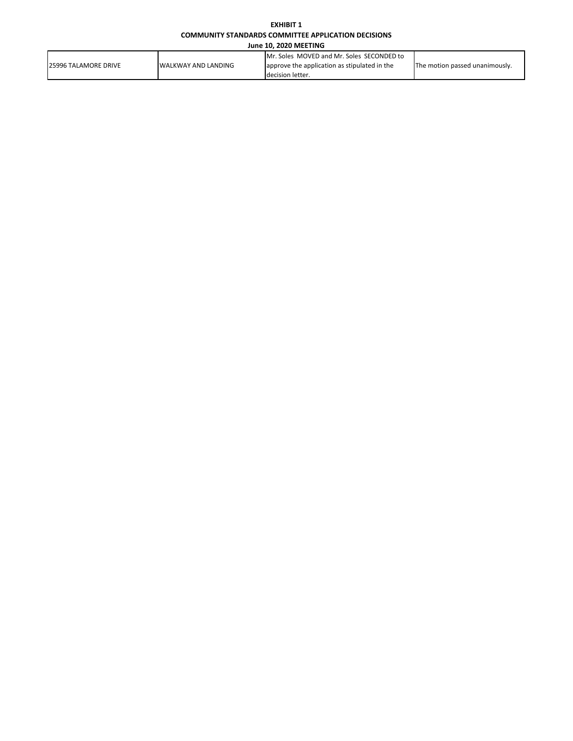#### **EXHIBIT 1 COMMUNITY STANDARDS COMMITTEE APPLICATION DECISIONS**

**June 10, 2020 MEETING**

| <b>I25996 TALAMORE DRIVE</b> | <b>IWALKWAY AND LANDING</b> | Mr. Soles MOVED and Mr. Soles SECONDED to    | The motion passed unanimously. |  |
|------------------------------|-----------------------------|----------------------------------------------|--------------------------------|--|
|                              |                             | approve the application as stipulated in the |                                |  |
|                              |                             | Idecision letter.                            |                                |  |
|                              |                             |                                              |                                |  |